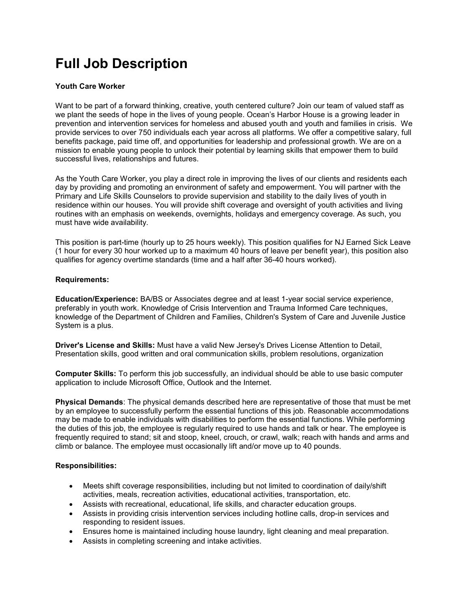# **Full Job Description**

# **Youth Care Worker**

Want to be part of a forward thinking, creative, youth centered culture? Join our team of valued staff as we plant the seeds of hope in the lives of young people. Ocean's Harbor House is a growing leader in prevention and intervention services for homeless and abused youth and youth and families in crisis. We provide services to over 750 individuals each year across all platforms. We offer a competitive salary, full benefits package, paid time off, and opportunities for leadership and professional growth. We are on a mission to enable young people to unlock their potential by learning skills that empower them to build successful lives, relationships and futures.

As the Youth Care Worker, you play a direct role in improving the lives of our clients and residents each day by providing and promoting an environment of safety and empowerment. You will partner with the Primary and Life Skills Counselors to provide supervision and stability to the daily lives of youth in residence within our houses. You will provide shift coverage and oversight of youth activities and living routines with an emphasis on weekends, overnights, holidays and emergency coverage. As such, you must have wide availability.

This position is part-time (hourly up to 25 hours weekly). This position qualifies for NJ Earned Sick Leave (1 hour for every 30 hour worked up to a maximum 40 hours of leave per benefit year), this position also qualifies for agency overtime standards (time and a half after 36-40 hours worked).

### **Requirements:**

**Education/Experience:** BA/BS or Associates degree and at least 1-year social service experience, preferably in youth work. Knowledge of Crisis Intervention and Trauma Informed Care techniques, knowledge of the Department of Children and Families, Children's System of Care and Juvenile Justice System is a plus.

**Driver's License and Skills:** Must have a valid New Jersey's Drives License Attention to Detail, Presentation skills, good written and oral communication skills, problem resolutions, organization

**Computer Skills:** To perform this job successfully, an individual should be able to use basic computer application to include Microsoft Office, Outlook and the Internet.

**Physical Demands**: The physical demands described here are representative of those that must be met by an employee to successfully perform the essential functions of this job. Reasonable accommodations may be made to enable individuals with disabilities to perform the essential functions. While performing the duties of this job, the employee is regularly required to use hands and talk or hear. The employee is frequently required to stand; sit and stoop, kneel, crouch, or crawl, walk; reach with hands and arms and climb or balance. The employee must occasionally lift and/or move up to 40 pounds.

# **Responsibilities:**

- Meets shift coverage responsibilities, including but not limited to coordination of daily/shift activities, meals, recreation activities, educational activities, transportation, etc.
- Assists with recreational, educational, life skills, and character education groups.
- Assists in providing crisis intervention services including hotline calls, drop-in services and responding to resident issues.
- Ensures home is maintained including house laundry, light cleaning and meal preparation.
- Assists in completing screening and intake activities.